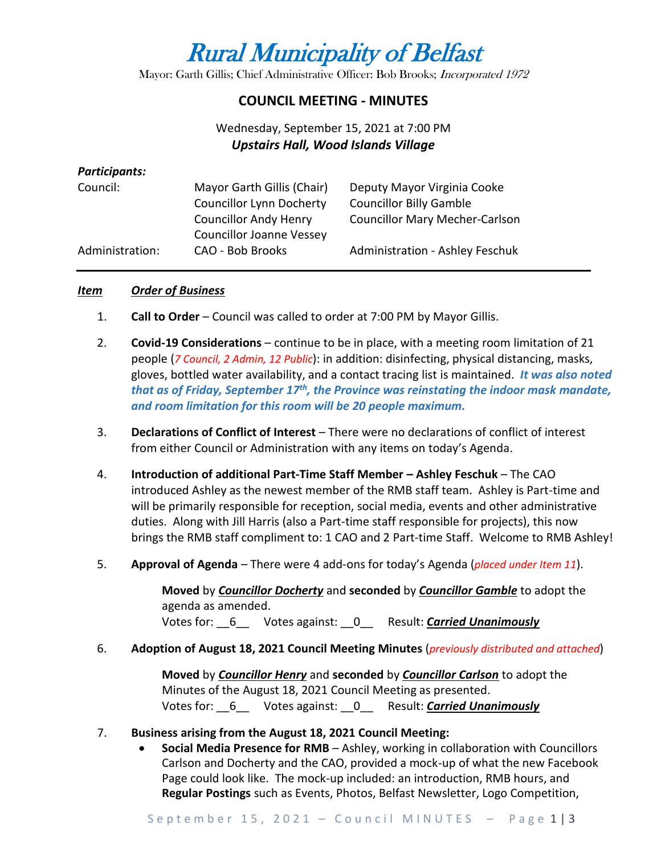# Rural Municipality of Belfast

Mayor: Garth Gillis; Chief Administrative Officer: Bob Brooks; Incorporated 1972

## **COUNCIL MEETING - MINUTES**

# Wednesday, September 15, 2021 at 7:00 PM *Upstairs Hall, Wood Islands Village*

#### *Participants:*

| Council:        | Mayor Garth Gillis (Chair)      | Deputy Mayor Virginia Cooke            |
|-----------------|---------------------------------|----------------------------------------|
|                 | <b>Councillor Lynn Docherty</b> | <b>Councillor Billy Gamble</b>         |
|                 | <b>Councillor Andy Henry</b>    | <b>Councillor Mary Mecher-Carlson</b>  |
|                 | <b>Councillor Joanne Vessey</b> |                                        |
| Administration: | CAO - Bob Brooks                | <b>Administration - Ashley Feschuk</b> |

#### *Item Order of Business*

- 1. **Call to Order** Council was called to order at 7:00 PM by Mayor Gillis.
- 2. **Covid-19 Considerations**  continue to be in place, with a meeting room limitation of 21 people (*7 Council, 2 Admin, 12 Public*): in addition: disinfecting, physical distancing, masks, gloves, bottled water availability, and a contact tracing list is maintained. *It was also noted that as of Friday, September 17th, the Province was reinstating the indoor mask mandate, and room limitation for this room will be 20 people maximum.*
- 3. **Declarations of Conflict of Interest** There were no declarations of conflict of interest from either Council or Administration with any items on today's Agenda.
- 4. **Introduction of additional Part-Time Staff Member – Ashley Feschuk** The CAO introduced Ashley as the newest member of the RMB staff team. Ashley is Part-time and will be primarily responsible for reception, social media, events and other administrative duties. Along with Jill Harris (also a Part-time staff responsible for projects), this now brings the RMB staff compliment to: 1 CAO and 2 Part-time Staff. Welcome to RMB Ashley!
- 5. **Approval of Agenda** There were 4 add-ons for today's Agenda (*placed under Item 11*).

**Moved** by *Councillor Docherty* and **seconded** by *Councillor Gamble* to adopt the agenda as amended. Votes for: \_\_6\_\_ Votes against: \_\_0\_\_ Result: *Carried Unanimously*

#### 6. **Adoption of August 18, 2021 Council Meeting Minutes** (*previously distributed and attached*)

**Moved** by *Councillor Henry* and **seconded** by *Councillor Carlson* to adopt the Minutes of the August 18, 2021 Council Meeting as presented. Votes for: \_\_6\_\_ Votes against: \_\_0\_\_ Result: *Carried Unanimously*

#### 7. **Business arising from the August 18, 2021 Council Meeting:**

• **Social Media Presence for RMB** – Ashley, working in collaboration with Councillors Carlson and Docherty and the CAO, provided a mock-up of what the new Facebook Page could look like. The mock-up included: an introduction, RMB hours, and **Regular Postings** such as Events, Photos, Belfast Newsletter, Logo Competition,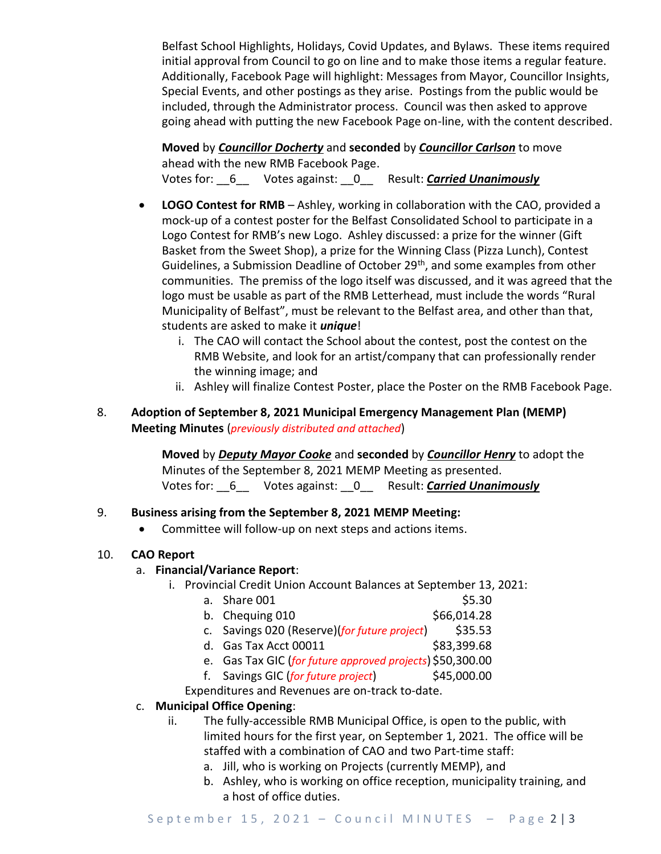Belfast School Highlights, Holidays, Covid Updates, and Bylaws. These items required initial approval from Council to go on line and to make those items a regular feature. Additionally, Facebook Page will highlight: Messages from Mayor, Councillor Insights, Special Events, and other postings as they arise. Postings from the public would be included, through the Administrator process. Council was then asked to approve going ahead with putting the new Facebook Page on-line, with the content described.

**Moved** by *Councillor Docherty* and **seconded** by *Councillor Carlson* to move ahead with the new RMB Facebook Page. Votes for: \_\_6\_\_ Votes against: \_\_0\_\_ Result: *Carried Unanimously*

- **LOGO Contest for RMB** Ashley, working in collaboration with the CAO, provided a mock-up of a contest poster for the Belfast Consolidated School to participate in a Logo Contest for RMB's new Logo. Ashley discussed: a prize for the winner (Gift Basket from the Sweet Shop), a prize for the Winning Class (Pizza Lunch), Contest Guidelines, a Submission Deadline of October 29<sup>th</sup>, and some examples from other communities. The premiss of the logo itself was discussed, and it was agreed that the logo must be usable as part of the RMB Letterhead, must include the words "Rural Municipality of Belfast", must be relevant to the Belfast area, and other than that, students are asked to make it *unique*!
	- i. The CAO will contact the School about the contest, post the contest on the RMB Website, and look for an artist/company that can professionally render the winning image; and
	- ii. Ashley will finalize Contest Poster, place the Poster on the RMB Facebook Page.
- 8. **Adoption of September 8, 2021 Municipal Emergency Management Plan (MEMP) Meeting Minutes** (*previously distributed and attached*)

**Moved** by *Deputy Mayor Cooke* and **seconded** by *Councillor Henry* to adopt the Minutes of the September 8, 2021 MEMP Meeting as presented. Votes for: \_\_6\_\_ Votes against: \_\_0\_\_ Result: *Carried Unanimously*

## 9. **Business arising from the September 8, 2021 MEMP Meeting:**

• Committee will follow-up on next steps and actions items.

## 10. **CAO Report**

## a. **Financial/Variance Report**:

- i. Provincial Credit Union Account Balances at September 13, 2021:
	- a. Share 001 \$5.30
	- b. Chequing 010 \$66,014.28
	- c. Savings 020 (Reserve)(*for future project*) \$35.53
	- d. Gas Tax Acct 00011 \$83,399.68
	- e. Gas Tax GIC (*for future approved projects*) \$50,300.00
	- f. Savings GIC (*for future project*) \$45,000.00
	- Expenditures and Revenues are on-track to-date.

## c. **Municipal Office Opening**:

- ii. The fully-accessible RMB Municipal Office, is open to the public, with limited hours for the first year, on September 1, 2021. The office will be staffed with a combination of CAO and two Part-time staff:
	- a. Jill, who is working on Projects (currently MEMP), and
	- b. Ashley, who is working on office reception, municipality training, and a host of office duties.